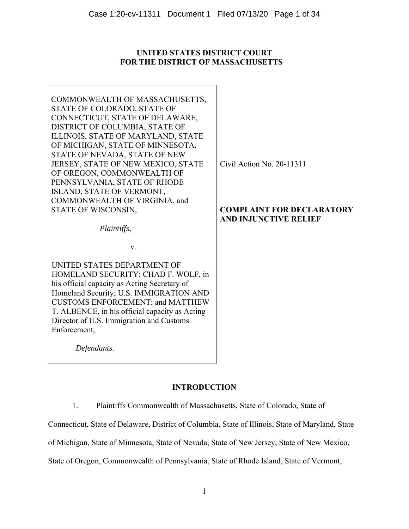# **UNITED STATES DISTRICT COURT FOR THE DISTRICT OF MASSACHUSETTS**

| COMMONWEALTH OF MASSACHUSETTS,<br>STATE OF COLORADO, STATE OF<br>CONNECTICUT, STATE OF DELAWARE,<br>DISTRICT OF COLUMBIA, STATE OF<br>ILLINOIS, STATE OF MARYLAND, STATE |                                                                  |
|--------------------------------------------------------------------------------------------------------------------------------------------------------------------------|------------------------------------------------------------------|
| OF MICHIGAN, STATE OF MINNESOTA,<br>STATE OF NEVADA, STATE OF NEW<br>JERSEY, STATE OF NEW MEXICO, STATE                                                                  | Civil Action No. 20-11311                                        |
| OF OREGON, COMMONWEALTH OF<br>PENNSYLVANIA, STATE OF RHODE<br>ISLAND, STATE OF VERMONT,                                                                                  |                                                                  |
| COMMONWEALTH OF VIRGINIA, and<br>STATE OF WISCONSIN,                                                                                                                     | <b>COMPLAINT FOR DECLARATORY</b><br><b>AND INJUNCTIVE RELIEF</b> |
| Plaintiffs,                                                                                                                                                              |                                                                  |
| v.                                                                                                                                                                       |                                                                  |
| UNITED STATES DEPARTMENT OF                                                                                                                                              |                                                                  |
| HOMELAND SECURITY; CHAD F. WOLF, in<br>his official capacity as Acting Secretary of                                                                                      |                                                                  |
| Homeland Security; U.S. IMMIGRATION AND                                                                                                                                  |                                                                  |
| <b>CUSTOMS ENFORCEMENT; and MATTHEW</b>                                                                                                                                  |                                                                  |
| T. ALBENCE, in his official capacity as Acting<br>Director of U.S. Immigration and Customs                                                                               |                                                                  |
| Enforcement,                                                                                                                                                             |                                                                  |
| Defendants.                                                                                                                                                              |                                                                  |
|                                                                                                                                                                          |                                                                  |

# **INTRODUCTION**

1. Plaintiffs Commonwealth of Massachusetts, State of Colorado, State of

Connecticut, State of Delaware, District of Columbia, State of Illinois, State of Maryland, State

of Michigan, State of Minnesota, State of Nevada, State of New Jersey, State of New Mexico,

State of Oregon, Commonwealth of Pennsylvania, State of Rhode Island, State of Vermont,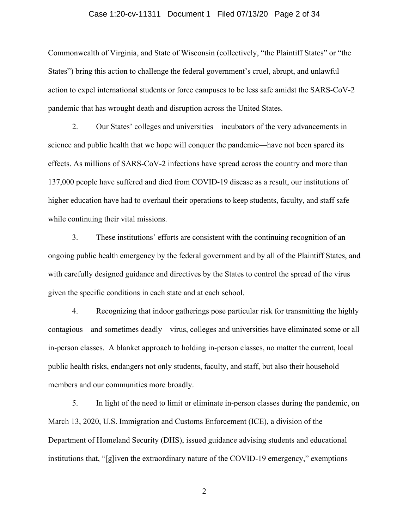### Case 1:20-cv-11311 Document 1 Filed 07/13/20 Page 2 of 34

Commonwealth of Virginia, and State of Wisconsin (collectively, "the Plaintiff States" or "the States") bring this action to challenge the federal government's cruel, abrupt, and unlawful action to expel international students or force campuses to be less safe amidst the SARS-CoV-2 pandemic that has wrought death and disruption across the United States.

2. Our States' colleges and universities—incubators of the very advancements in science and public health that we hope will conquer the pandemic—have not been spared its effects. As millions of SARS-CoV-2 infections have spread across the country and more than 137,000 people have suffered and died from COVID-19 disease as a result, our institutions of higher education have had to overhaul their operations to keep students, faculty, and staff safe while continuing their vital missions.

3. These institutions' efforts are consistent with the continuing recognition of an ongoing public health emergency by the federal government and by all of the Plaintiff States, and with carefully designed guidance and directives by the States to control the spread of the virus given the specific conditions in each state and at each school.

4. Recognizing that indoor gatherings pose particular risk for transmitting the highly contagious—and sometimes deadly—virus, colleges and universities have eliminated some or all in-person classes. A blanket approach to holding in-person classes, no matter the current, local public health risks, endangers not only students, faculty, and staff, but also their household members and our communities more broadly.

5. In light of the need to limit or eliminate in-person classes during the pandemic, on March 13, 2020, U.S. Immigration and Customs Enforcement (ICE), a division of the Department of Homeland Security (DHS), issued guidance advising students and educational institutions that, "[g]iven the extraordinary nature of the COVID-19 emergency," exemptions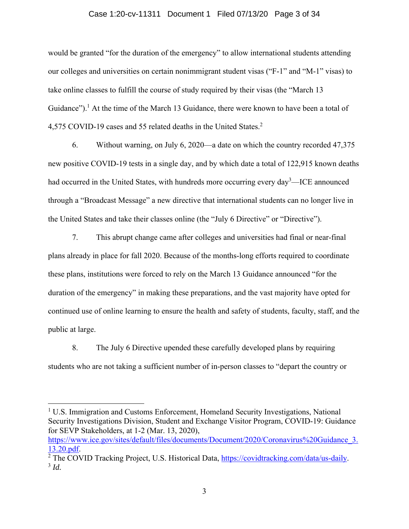#### Case 1:20-cv-11311 Document 1 Filed 07/13/20 Page 3 of 34

would be granted "for the duration of the emergency" to allow international students attending our colleges and universities on certain nonimmigrant student visas ("F-1" and "M-1" visas) to take online classes to fulfill the course of study required by their visas (the "March 13 Guidance").<sup>1</sup> At the time of the March 13 Guidance, there were known to have been a total of 4,575 COVID-19 cases and 55 related deaths in the United States. 2

6. Without warning, on July 6, 2020—a date on which the country recorded 47,375 new positive COVID-19 tests in a single day, and by which date a total of 122,915 known deaths had occurred in the United States, with hundreds more occurring every day<sup>3</sup>—ICE announced through a "Broadcast Message" a new directive that international students can no longer live in the United States and take their classes online (the "July 6 Directive" or "Directive").

7. This abrupt change came after colleges and universities had final or near-final plans already in place for fall 2020. Because of the months-long efforts required to coordinate these plans, institutions were forced to rely on the March 13 Guidance announced "for the duration of the emergency" in making these preparations, and the vast majority have opted for continued use of online learning to ensure the health and safety of students, faculty, staff, and the public at large.

8. The July 6 Directive upended these carefully developed plans by requiring students who are not taking a sufficient number of in-person classes to "depart the country or

<sup>&</sup>lt;sup>1</sup> U.S. Immigration and Customs Enforcement, Homeland Security Investigations, National Security Investigations Division, Student and Exchange Visitor Program, COVID-19: Guidance for SEVP Stakeholders, at 1-2 (Mar. 13, 2020),

https://www.ice.gov/sites/default/files/documents/Document/2020/Coronavirus%20Guidance 3. 13.20.pdf. 2

<sup>&</sup>lt;sup>2</sup> The COVID Tracking Project, U.S. Historical Data, https://covidtracking.com/data/us-daily.<br><sup>3</sup> *Id.*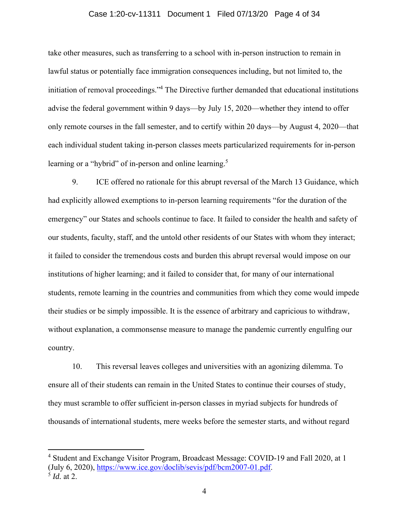### Case 1:20-cv-11311 Document 1 Filed 07/13/20 Page 4 of 34

take other measures, such as transferring to a school with in-person instruction to remain in lawful status or potentially face immigration consequences including, but not limited to, the initiation of removal proceedings."4 The Directive further demanded that educational institutions advise the federal government within 9 days—by July 15, 2020—whether they intend to offer only remote courses in the fall semester, and to certify within 20 days—by August 4, 2020—that each individual student taking in-person classes meets particularized requirements for in-person learning or a "hybrid" of in-person and online learning.<sup>5</sup>

9. ICE offered no rationale for this abrupt reversal of the March 13 Guidance, which had explicitly allowed exemptions to in-person learning requirements "for the duration of the emergency" our States and schools continue to face. It failed to consider the health and safety of our students, faculty, staff, and the untold other residents of our States with whom they interact; it failed to consider the tremendous costs and burden this abrupt reversal would impose on our institutions of higher learning; and it failed to consider that, for many of our international students, remote learning in the countries and communities from which they come would impede their studies or be simply impossible. It is the essence of arbitrary and capricious to withdraw, without explanation, a commonsense measure to manage the pandemic currently engulfing our country.

10. This reversal leaves colleges and universities with an agonizing dilemma. To ensure all of their students can remain in the United States to continue their courses of study, they must scramble to offer sufficient in-person classes in myriad subjects for hundreds of thousands of international students, mere weeks before the semester starts, and without regard

<sup>&</sup>lt;sup>4</sup> Student and Exchange Visitor Program, Broadcast Message: COVID-19 and Fall 2020, at 1 (July 6, 2020), https://www.ice.gov/doclib/sevis/pdf/bcm2007-01.pdf. 5 *Id.* at 2.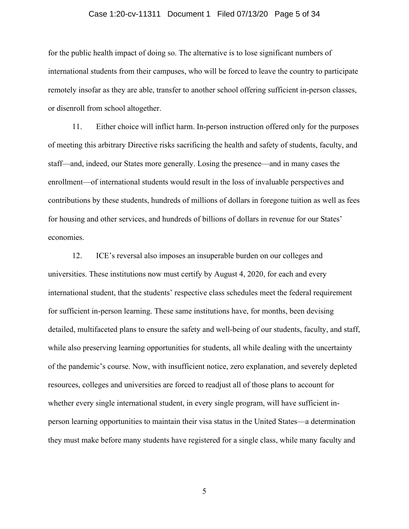### Case 1:20-cv-11311 Document 1 Filed 07/13/20 Page 5 of 34

for the public health impact of doing so. The alternative is to lose significant numbers of international students from their campuses, who will be forced to leave the country to participate remotely insofar as they are able, transfer to another school offering sufficient in-person classes, or disenroll from school altogether.

11. Either choice will inflict harm. In-person instruction offered only for the purposes of meeting this arbitrary Directive risks sacrificing the health and safety of students, faculty, and staff—and, indeed, our States more generally. Losing the presence—and in many cases the enrollment—of international students would result in the loss of invaluable perspectives and contributions by these students, hundreds of millions of dollars in foregone tuition as well as fees for housing and other services, and hundreds of billions of dollars in revenue for our States' economies.

12. ICE's reversal also imposes an insuperable burden on our colleges and universities. These institutions now must certify by August 4, 2020, for each and every international student, that the students' respective class schedules meet the federal requirement for sufficient in-person learning. These same institutions have, for months, been devising detailed, multifaceted plans to ensure the safety and well-being of our students, faculty, and staff, while also preserving learning opportunities for students, all while dealing with the uncertainty of the pandemic's course. Now, with insufficient notice, zero explanation, and severely depleted resources, colleges and universities are forced to readjust all of those plans to account for whether every single international student, in every single program, will have sufficient inperson learning opportunities to maintain their visa status in the United States—a determination they must make before many students have registered for a single class, while many faculty and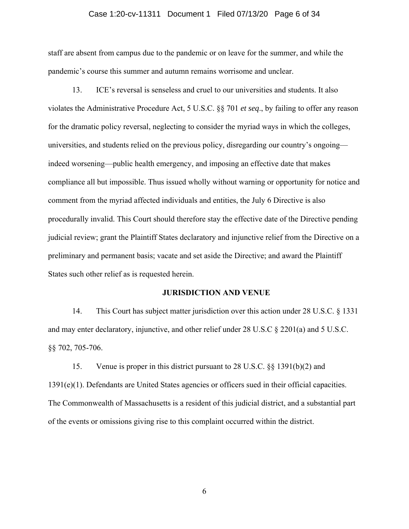### Case 1:20-cv-11311 Document 1 Filed 07/13/20 Page 6 of 34

staff are absent from campus due to the pandemic or on leave for the summer, and while the pandemic's course this summer and autumn remains worrisome and unclear.

13. ICE's reversal is senseless and cruel to our universities and students. It also violates the Administrative Procedure Act, 5 U.S.C. §§ 701 *et seq*., by failing to offer any reason for the dramatic policy reversal, neglecting to consider the myriad ways in which the colleges, universities, and students relied on the previous policy, disregarding our country's ongoing indeed worsening—public health emergency, and imposing an effective date that makes compliance all but impossible. Thus issued wholly without warning or opportunity for notice and comment from the myriad affected individuals and entities, the July 6 Directive is also procedurally invalid. This Court should therefore stay the effective date of the Directive pending judicial review; grant the Plaintiff States declaratory and injunctive relief from the Directive on a preliminary and permanent basis; vacate and set aside the Directive; and award the Plaintiff States such other relief as is requested herein.

### **JURISDICTION AND VENUE**

14. This Court has subject matter jurisdiction over this action under 28 U.S.C. § 1331 and may enter declaratory, injunctive, and other relief under 28 U.S.C § 2201(a) and 5 U.S.C. §§ 702, 705-706.

15. Venue is proper in this district pursuant to 28 U.S.C. §§ 1391(b)(2) and 1391(e)(1). Defendants are United States agencies or officers sued in their official capacities. The Commonwealth of Massachusetts is a resident of this judicial district, and a substantial part of the events or omissions giving rise to this complaint occurred within the district.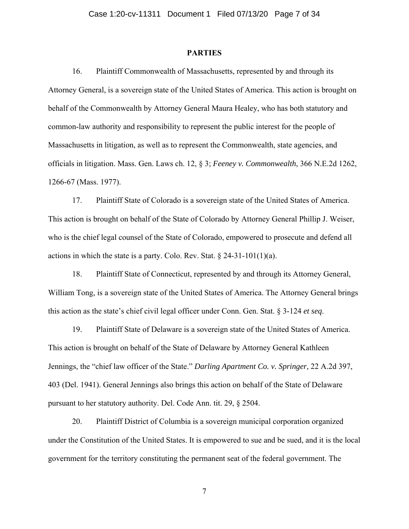#### **PARTIES**

16. Plaintiff Commonwealth of Massachusetts, represented by and through its Attorney General, is a sovereign state of the United States of America. This action is brought on behalf of the Commonwealth by Attorney General Maura Healey, who has both statutory and common-law authority and responsibility to represent the public interest for the people of Massachusetts in litigation, as well as to represent the Commonwealth, state agencies, and officials in litigation. Mass. Gen. Laws ch. 12, § 3; *Feeney v. Commonwealth*, 366 N.E.2d 1262, 1266-67 (Mass. 1977).

17. Plaintiff State of Colorado is a sovereign state of the United States of America. This action is brought on behalf of the State of Colorado by Attorney General Phillip J. Weiser, who is the chief legal counsel of the State of Colorado, empowered to prosecute and defend all actions in which the state is a party. Colo. Rev. Stat.  $\S 24-31-101(1)(a)$ .

18. Plaintiff State of Connecticut, represented by and through its Attorney General, William Tong, is a sovereign state of the United States of America. The Attorney General brings this action as the state's chief civil legal officer under Conn. Gen. Stat. § 3-124 *et seq*.

19. Plaintiff State of Delaware is a sovereign state of the United States of America. This action is brought on behalf of the State of Delaware by Attorney General Kathleen Jennings, the "chief law officer of the State." *Darling Apartment Co. v. Springer*, 22 A.2d 397, 403 (Del. 1941). General Jennings also brings this action on behalf of the State of Delaware pursuant to her statutory authority. Del. Code Ann. tit. 29, § 2504.

20. Plaintiff District of Columbia is a sovereign municipal corporation organized under the Constitution of the United States. It is empowered to sue and be sued, and it is the local government for the territory constituting the permanent seat of the federal government. The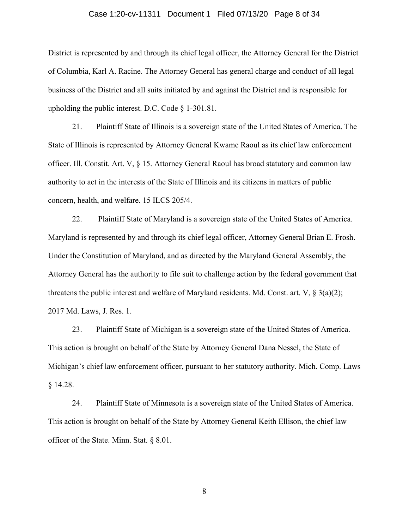### Case 1:20-cv-11311 Document 1 Filed 07/13/20 Page 8 of 34

District is represented by and through its chief legal officer, the Attorney General for the District of Columbia, Karl A. Racine. The Attorney General has general charge and conduct of all legal business of the District and all suits initiated by and against the District and is responsible for upholding the public interest. D.C. Code § 1-301.81.

21. Plaintiff State of Illinois is a sovereign state of the United States of America. The State of Illinois is represented by Attorney General Kwame Raoul as its chief law enforcement officer. Ill. Constit. Art. V, § 15. Attorney General Raoul has broad statutory and common law authority to act in the interests of the State of Illinois and its citizens in matters of public concern, health, and welfare. 15 ILCS 205/4.

22. Plaintiff State of Maryland is a sovereign state of the United States of America. Maryland is represented by and through its chief legal officer, Attorney General Brian E. Frosh. Under the Constitution of Maryland, and as directed by the Maryland General Assembly, the Attorney General has the authority to file suit to challenge action by the federal government that threatens the public interest and welfare of Maryland residents. Md. Const. art. V,  $\S 3(a)(2)$ ; 2017 Md. Laws, J. Res. 1.

23. Plaintiff State of Michigan is a sovereign state of the United States of America. This action is brought on behalf of the State by Attorney General Dana Nessel, the State of Michigan's chief law enforcement officer, pursuant to her statutory authority. Mich. Comp. Laws § 14.28.

24. Plaintiff State of Minnesota is a sovereign state of the United States of America. This action is brought on behalf of the State by Attorney General Keith Ellison, the chief law officer of the State. Minn. Stat. § 8.01.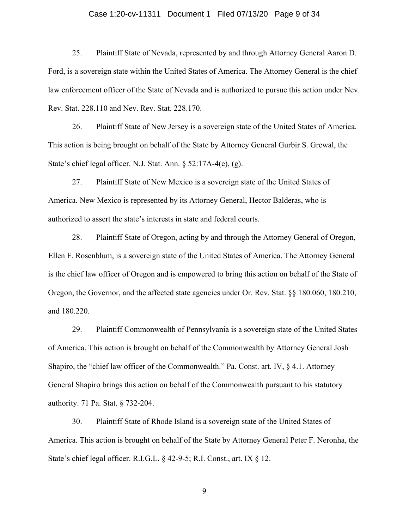### Case 1:20-cv-11311 Document 1 Filed 07/13/20 Page 9 of 34

25. Plaintiff State of Nevada, represented by and through Attorney General Aaron D. Ford, is a sovereign state within the United States of America. The Attorney General is the chief law enforcement officer of the State of Nevada and is authorized to pursue this action under Nev. Rev. Stat. 228.110 and Nev. Rev. Stat. 228.170.

26. Plaintiff State of New Jersey is a sovereign state of the United States of America. This action is being brought on behalf of the State by Attorney General Gurbir S. Grewal, the State's chief legal officer. N.J. Stat. Ann. § 52:17A-4(e), (g).

27. Plaintiff State of New Mexico is a sovereign state of the United States of America. New Mexico is represented by its Attorney General, Hector Balderas, who is authorized to assert the state's interests in state and federal courts.

28. Plaintiff State of Oregon, acting by and through the Attorney General of Oregon, Ellen F. Rosenblum, is a sovereign state of the United States of America. The Attorney General is the chief law officer of Oregon and is empowered to bring this action on behalf of the State of Oregon, the Governor, and the affected state agencies under Or. Rev. Stat. §§ 180.060, 180.210, and 180.220.

29. Plaintiff Commonwealth of Pennsylvania is a sovereign state of the United States of America. This action is brought on behalf of the Commonwealth by Attorney General Josh Shapiro, the "chief law officer of the Commonwealth." Pa. Const. art. IV, § 4.1. Attorney General Shapiro brings this action on behalf of the Commonwealth pursuant to his statutory authority. 71 Pa. Stat. § 732-204.

30. Plaintiff State of Rhode Island is a sovereign state of the United States of America. This action is brought on behalf of the State by Attorney General Peter F. Neronha, the State's chief legal officer. R.I.G.L. § 42-9-5; R.I. Const., art. IX § 12.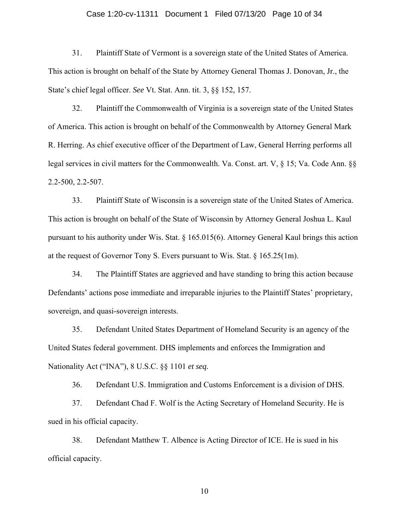### Case 1:20-cv-11311 Document 1 Filed 07/13/20 Page 10 of 34

31. Plaintiff State of Vermont is a sovereign state of the United States of America. This action is brought on behalf of the State by Attorney General Thomas J. Donovan, Jr., the State's chief legal officer. *See* Vt. Stat. Ann. tit. 3, §§ 152, 157.

32. Plaintiff the Commonwealth of Virginia is a sovereign state of the United States of America. This action is brought on behalf of the Commonwealth by Attorney General Mark R. Herring. As chief executive officer of the Department of Law, General Herring performs all legal services in civil matters for the Commonwealth. Va. Const. art. V, § 15; Va. Code Ann. §§ 2.2-500, 2.2-507.

33. Plaintiff State of Wisconsin is a sovereign state of the United States of America. This action is brought on behalf of the State of Wisconsin by Attorney General Joshua L. Kaul pursuant to his authority under Wis. Stat. § 165.015(6). Attorney General Kaul brings this action at the request of Governor Tony S. Evers pursuant to Wis. Stat.  $\S 165.25(1m)$ .

34. The Plaintiff States are aggrieved and have standing to bring this action because Defendants' actions pose immediate and irreparable injuries to the Plaintiff States' proprietary, sovereign, and quasi-sovereign interests.

35. Defendant United States Department of Homeland Security is an agency of the United States federal government. DHS implements and enforces the Immigration and Nationality Act ("INA"), 8 U.S.C. §§ 1101 *et seq.*

36. Defendant U.S. Immigration and Customs Enforcement is a division of DHS.

37. Defendant Chad F. Wolf is the Acting Secretary of Homeland Security. He is sued in his official capacity.

38. Defendant Matthew T. Albence is Acting Director of ICE. He is sued in his official capacity.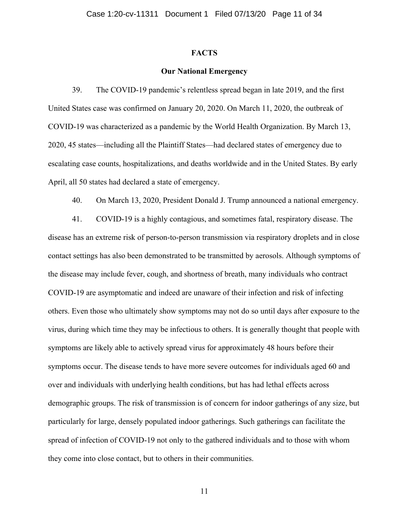### **FACTS**

### **Our National Emergency**

39. The COVID-19 pandemic's relentless spread began in late 2019, and the first United States case was confirmed on January 20, 2020. On March 11, 2020, the outbreak of COVID-19 was characterized as a pandemic by the World Health Organization. By March 13, 2020, 45 states—including all the Plaintiff States—had declared states of emergency due to escalating case counts, hospitalizations, and deaths worldwide and in the United States. By early April, all 50 states had declared a state of emergency.

40. On March 13, 2020, President Donald J. Trump announced a national emergency.

41. COVID-19 is a highly contagious, and sometimes fatal, respiratory disease. The disease has an extreme risk of person-to-person transmission via respiratory droplets and in close contact settings has also been demonstrated to be transmitted by aerosols. Although symptoms of the disease may include fever, cough, and shortness of breath, many individuals who contract COVID-19 are asymptomatic and indeed are unaware of their infection and risk of infecting others. Even those who ultimately show symptoms may not do so until days after exposure to the virus, during which time they may be infectious to others. It is generally thought that people with symptoms are likely able to actively spread virus for approximately 48 hours before their symptoms occur. The disease tends to have more severe outcomes for individuals aged 60 and over and individuals with underlying health conditions, but has had lethal effects across demographic groups. The risk of transmission is of concern for indoor gatherings of any size, but particularly for large, densely populated indoor gatherings. Such gatherings can facilitate the spread of infection of COVID-19 not only to the gathered individuals and to those with whom they come into close contact, but to others in their communities.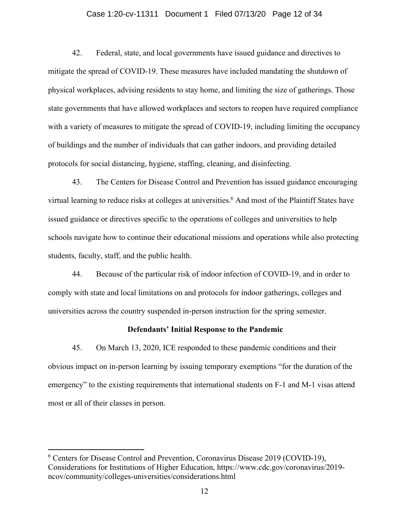### Case 1:20-cv-11311 Document 1 Filed 07/13/20 Page 12 of 34

42. Federal, state, and local governments have issued guidance and directives to mitigate the spread of COVID-19. These measures have included mandating the shutdown of physical workplaces, advising residents to stay home, and limiting the size of gatherings. Those state governments that have allowed workplaces and sectors to reopen have required compliance with a variety of measures to mitigate the spread of COVID-19, including limiting the occupancy of buildings and the number of individuals that can gather indoors, and providing detailed protocols for social distancing, hygiene, staffing, cleaning, and disinfecting.

43. The Centers for Disease Control and Prevention has issued guidance encouraging virtual learning to reduce risks at colleges at universities.<sup>6</sup> And most of the Plaintiff States have issued guidance or directives specific to the operations of colleges and universities to help schools navigate how to continue their educational missions and operations while also protecting students, faculty, staff, and the public health.

44. Because of the particular risk of indoor infection of COVID-19, and in order to comply with state and local limitations on and protocols for indoor gatherings, colleges and universities across the country suspended in-person instruction for the spring semester.

#### **Defendants' Initial Response to the Pandemic**

45. On March 13, 2020, ICE responded to these pandemic conditions and their obvious impact on in-person learning by issuing temporary exemptions "for the duration of the emergency" to the existing requirements that international students on F-1 and M-1 visas attend most or all of their classes in person.

<sup>&</sup>lt;sup>6</sup> Centers for Disease Control and Prevention, Coronavirus Disease 2019 (COVID-19), Considerations for Institutions of Higher Education, https://www.cdc.gov/coronavirus/2019 ncov/community/colleges-universities/considerations.html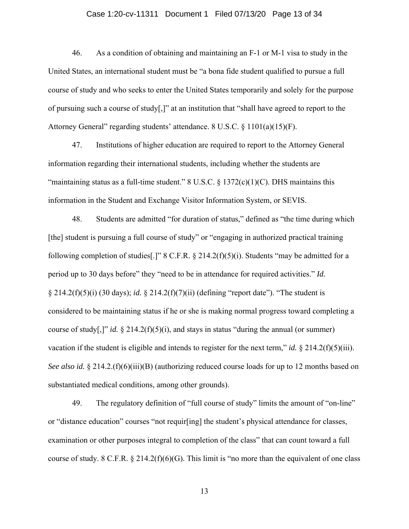### Case 1:20-cv-11311 Document 1 Filed 07/13/20 Page 13 of 34

46. As a condition of obtaining and maintaining an F-1 or M-1 visa to study in the United States, an international student must be "a bona fide student qualified to pursue a full course of study and who seeks to enter the United States temporarily and solely for the purpose of pursuing such a course of study[,]" at an institution that "shall have agreed to report to the Attorney General" regarding students' attendance. 8 U.S.C. § 1101(a)(15)(F).

47. Institutions of higher education are required to report to the Attorney General information regarding their international students, including whether the students are "maintaining status as a full-time student."  $8 \text{ U.S.C. } \frac{6}{5} \frac{1372(c)(1)(C)}{DHS}$  maintains this information in the Student and Exchange Visitor Information System, or SEVIS.

48. Students are admitted "for duration of status," defined as "the time during which [the] student is pursuing a full course of study" or "engaging in authorized practical training following completion of studies [.]" 8 C.F.R.  $\S 214.2(f)(5)(i)$ . Students "may be admitted for a period up to 30 days before" they "need to be in attendance for required activities." *Id.*  § 214.2(f)(5)(i) (30 days); *id.* § 214.2(f)(7)(ii) (defining "report date"). "The student is considered to be maintaining status if he or she is making normal progress toward completing a course of study[,]" *id.*  $\frac{8}{2}$  214.2(f)(5)(i), and stays in status "during the annual (or summer) vacation if the student is eligible and intends to register for the next term," *id.*  $\S 214.2(f)(5)(iii)$ . *See also id.* § 214.2.(f)(6)(iii)(B) (authorizing reduced course loads for up to 12 months based on substantiated medical conditions, among other grounds).

49. The regulatory definition of "full course of study" limits the amount of "on-line" or "distance education" courses "not requir[ing] the student's physical attendance for classes, examination or other purposes integral to completion of the class" that can count toward a full course of study. 8 C.F.R.  $\S 214.2(f)(6)(G)$ . This limit is "no more than the equivalent of one class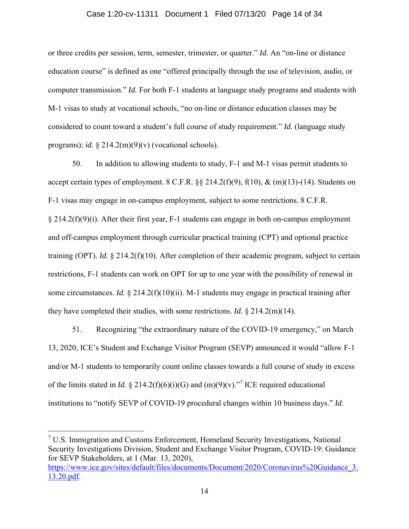### Case 1:20-cv-11311 Document 1 Filed 07/13/20 Page 14 of 34

or three credits per session, term, semester, trimester, or quarter." *Id.* An "on-line or distance education course" is defined as one "offered principally through the use of television, audio, or computer transmission." *Id.* For both F-1 students at language study programs and students with M-1 visas to study at vocational schools, "no on-line or distance education classes may be considered to count toward a student's full course of study requirement." *Id.* (language study programs); *id.*  $\frac{214.2(m)(9)}{v}$  (vocational schools).

50. In addition to allowing students to study, F-1 and M-1 visas permit students to accept certain types of employment. 8 C.F.R.  $\S$  214.2(f)(9), f(10), & (m)(13)-(14). Students on F-1 visas may engage in on-campus employment, subject to some restrictions. 8 C.F.R. § 214.2(f)(9)(i). After their first year, F-1 students can engage in both on-campus employment and off-campus employment through curricular practical training (CPT) and optional practice training (OPT)*. Id.* § 214.2(f)(10). After completion of their academic program, subject to certain restrictions, F-1 students can work on OPT for up to one year with the possibility of renewal in some circumstances. *Id.*  $\S 214.2(f)(10)(ii)$ . M-1 students may engage in practical training after they have completed their studies, with some restrictions. *Id.* § 214.2(m)(14).

51. Recognizing "the extraordinary nature of the COVID-19 emergency," on March 13, 2020, ICE's Student and Exchange Visitor Program (SEVP) announced it would "allow F-1 and/or M-1 students to temporarily count online classes towards a full course of study in excess of the limits stated in *Id.* § 214.2(f)(6)(i)(G) and (m)(9)(v).<sup>"7</sup> ICE required educational institutions to "notify SEVP of COVID-19 procedural changes within 10 business days." *Id*.

<sup>&</sup>lt;sup>7</sup> U.S. Immigration and Customs Enforcement, Homeland Security Investigations, National Security Investigations Division, Student and Exchange Visitor Program, COVID-19: Guidance for SEVP Stakeholders, at 1 (Mar. 13, 2020),

https://www.ice.gov/sites/default/files/documents/Document/2020/Coronavirus%20Guidance 3. 13.20.pdf.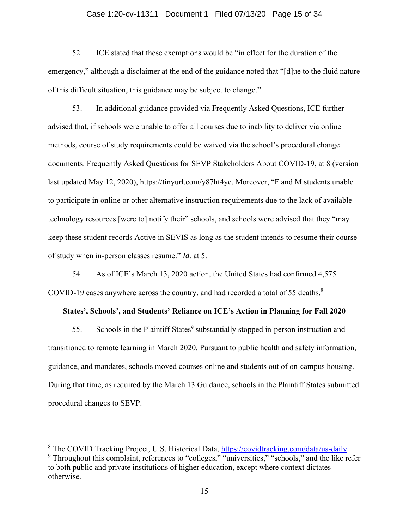### Case 1:20-cv-11311 Document 1 Filed 07/13/20 Page 15 of 34

52. ICE stated that these exemptions would be "in effect for the duration of the emergency," although a disclaimer at the end of the guidance noted that "[d]ue to the fluid nature of this difficult situation, this guidance may be subject to change."

53. In additional guidance provided via Frequently Asked Questions, ICE further advised that, if schools were unable to offer all courses due to inability to deliver via online methods, course of study requirements could be waived via the school's procedural change documents. Frequently Asked Questions for SEVP Stakeholders About COVID-19, at 8 (version last updated May 12, 2020), https://tinyurl.com/y87ht4ye. Moreover, "F and M students unable to participate in online or other alternative instruction requirements due to the lack of available technology resources [were to] notify their" schools, and schools were advised that they "may keep these student records Active in SEVIS as long as the student intends to resume their course of study when in-person classes resume." *Id.* at 5.

54. As of ICE's March 13, 2020 action, the United States had confirmed 4,575 COVID-19 cases anywhere across the country, and had recorded a total of 55 deaths. $8$ 

### **States', Schools', and Students' Reliance on ICE's Action in Planning for Fall 2020**

55. Schools in the Plaintiff States<sup>9</sup> substantially stopped in-person instruction and transitioned to remote learning in March 2020. Pursuant to public health and safety information, guidance, and mandates, schools moved courses online and students out of on-campus housing. During that time, as required by the March 13 Guidance, schools in the Plaintiff States submitted procedural changes to SEVP.

<sup>&</sup>lt;sup>8</sup> The COVID Tracking Project, U.S. Historical Data,  $\frac{https://covidtracking.com/data-us-daily}{https://covidtracking.com/data-us-daily}$ .

<sup>&</sup>lt;sup>9</sup> Throughout this complaint, references to "colleges," "universities," "schools," and the like refer to both public and private institutions of higher education, except where context dictates otherwise.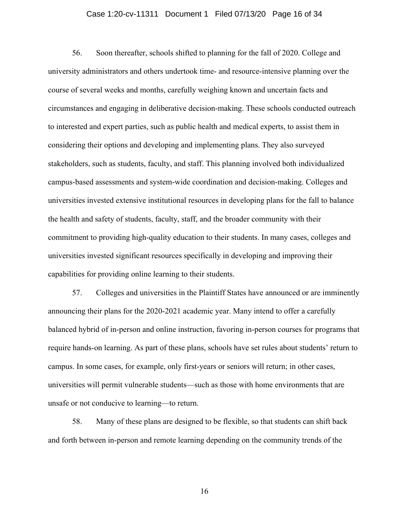### Case 1:20-cv-11311 Document 1 Filed 07/13/20 Page 16 of 34

56. Soon thereafter, schools shifted to planning for the fall of 2020. College and university administrators and others undertook time- and resource-intensive planning over the course of several weeks and months, carefully weighing known and uncertain facts and circumstances and engaging in deliberative decision-making. These schools conducted outreach to interested and expert parties, such as public health and medical experts, to assist them in considering their options and developing and implementing plans. They also surveyed stakeholders, such as students, faculty, and staff. This planning involved both individualized campus-based assessments and system-wide coordination and decision-making. Colleges and universities invested extensive institutional resources in developing plans for the fall to balance the health and safety of students, faculty, staff, and the broader community with their commitment to providing high-quality education to their students. In many cases, colleges and universities invested significant resources specifically in developing and improving their capabilities for providing online learning to their students.

57. Colleges and universities in the Plaintiff States have announced or are imminently announcing their plans for the 2020-2021 academic year. Many intend to offer a carefully balanced hybrid of in-person and online instruction, favoring in-person courses for programs that require hands-on learning. As part of these plans, schools have set rules about students' return to campus. In some cases, for example, only first-years or seniors will return; in other cases, universities will permit vulnerable students—such as those with home environments that are unsafe or not conducive to learning—to return.

58. Many of these plans are designed to be flexible, so that students can shift back and forth between in-person and remote learning depending on the community trends of the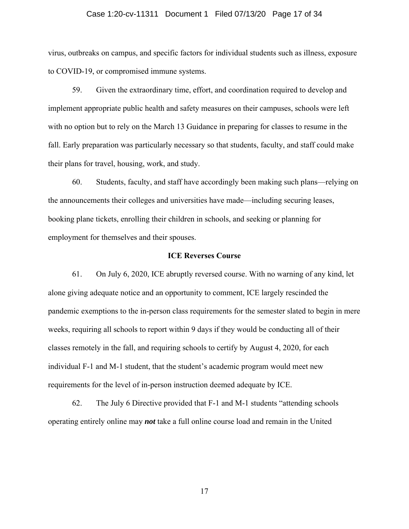### Case 1:20-cv-11311 Document 1 Filed 07/13/20 Page 17 of 34

virus, outbreaks on campus, and specific factors for individual students such as illness, exposure to COVID-19, or compromised immune systems.

59. Given the extraordinary time, effort, and coordination required to develop and implement appropriate public health and safety measures on their campuses, schools were left with no option but to rely on the March 13 Guidance in preparing for classes to resume in the fall. Early preparation was particularly necessary so that students, faculty, and staff could make their plans for travel, housing, work, and study.

60. Students, faculty, and staff have accordingly been making such plans—relying on the announcements their colleges and universities have made—including securing leases, booking plane tickets, enrolling their children in schools, and seeking or planning for employment for themselves and their spouses.

### **ICE Reverses Course**

61. On July 6, 2020, ICE abruptly reversed course. With no warning of any kind, let alone giving adequate notice and an opportunity to comment, ICE largely rescinded the pandemic exemptions to the in-person class requirements for the semester slated to begin in mere weeks, requiring all schools to report within 9 days if they would be conducting all of their classes remotely in the fall, and requiring schools to certify by August 4, 2020, for each individual F-1 and M-1 student, that the student's academic program would meet new requirements for the level of in-person instruction deemed adequate by ICE.

62. The July 6 Directive provided that F-1 and M-1 students "attending schools operating entirely online may *not* take a full online course load and remain in the United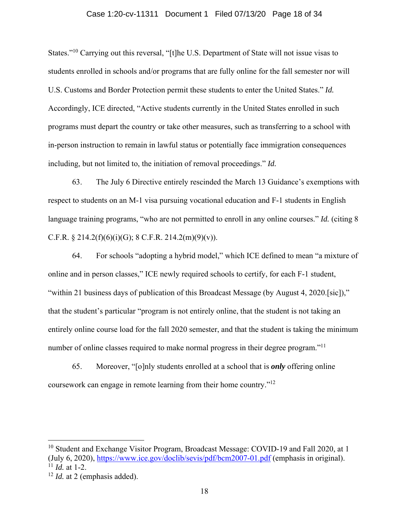### Case 1:20-cv-11311 Document 1 Filed 07/13/20 Page 18 of 34

States."10 Carrying out this reversal, "[t]he U.S. Department of State will not issue visas to students enrolled in schools and/or programs that are fully online for the fall semester nor will U.S. Customs and Border Protection permit these students to enter the United States." *Id.*  Accordingly, ICE directed, "Active students currently in the United States enrolled in such programs must depart the country or take other measures, such as transferring to a school with in-person instruction to remain in lawful status or potentially face immigration consequences including, but not limited to, the initiation of removal proceedings." *Id.*

63. The July 6 Directive entirely rescinded the March 13 Guidance's exemptions with respect to students on an M-1 visa pursuing vocational education and F-1 students in English language training programs, "who are not permitted to enroll in any online courses." *Id.* (citing 8 C.F.R.  $\S 214.2(f)(6)(i)(G); 8 C.F.R. 214.2(m)(9)(v).$ 

64. For schools "adopting a hybrid model," which ICE defined to mean "a mixture of online and in person classes," ICE newly required schools to certify, for each F-1 student, "within 21 business days of publication of this Broadcast Message (by August 4, 2020.[sic])," that the student's particular "program is not entirely online, that the student is not taking an entirely online course load for the fall 2020 semester, and that the student is taking the minimum number of online classes required to make normal progress in their degree program."<sup>11</sup>

65. Moreover, "[o]nly students enrolled at a school that is *only* offering online coursework can engage in remote learning from their home country."12

<sup>&</sup>lt;sup>10</sup> Student and Exchange Visitor Program, Broadcast Message: COVID-19 and Fall 2020, at 1 (July 6, 2020), https://www.ice.gov/doclib/sevis/pdf/bcm2007-01.pdf (emphasis in original).  $11$  *Id.* at 1-2.

<sup>&</sup>lt;sup>12</sup> *Id.* at 2 (emphasis added).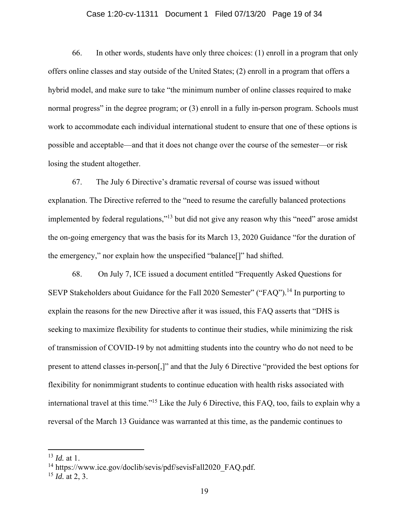### Case 1:20-cv-11311 Document 1 Filed 07/13/20 Page 19 of 34

66. In other words, students have only three choices: (1) enroll in a program that only offers online classes and stay outside of the United States; (2) enroll in a program that offers a hybrid model, and make sure to take "the minimum number of online classes required to make normal progress" in the degree program; or (3) enroll in a fully in-person program. Schools must work to accommodate each individual international student to ensure that one of these options is possible and acceptable—and that it does not change over the course of the semester—or risk losing the student altogether.

67. The July 6 Directive's dramatic reversal of course was issued without explanation. The Directive referred to the "need to resume the carefully balanced protections implemented by federal regulations,"<sup>13</sup> but did not give any reason why this "need" arose amidst the on-going emergency that was the basis for its March 13, 2020 Guidance "for the duration of the emergency," nor explain how the unspecified "balance[]" had shifted.

68. On July 7, ICE issued a document entitled "Frequently Asked Questions for SEVP Stakeholders about Guidance for the Fall 2020 Semester" ("FAQ").<sup>14</sup> In purporting to explain the reasons for the new Directive after it was issued, this FAQ asserts that "DHS is seeking to maximize flexibility for students to continue their studies, while minimizing the risk of transmission of COVID-19 by not admitting students into the country who do not need to be present to attend classes in-person[,]" and that the July 6 Directive "provided the best options for flexibility for nonimmigrant students to continue education with health risks associated with international travel at this time."15 Like the July 6 Directive, this FAQ, too, fails to explain why a reversal of the March 13 Guidance was warranted at this time, as the pandemic continues to

<sup>13</sup> *Id.* at 1.

<sup>&</sup>lt;sup>14</sup> https://www.ice.gov/doclib/sevis/pdf/sevisFall2020\_FAO.pdf.

<sup>15</sup> *Id.* at 2, 3.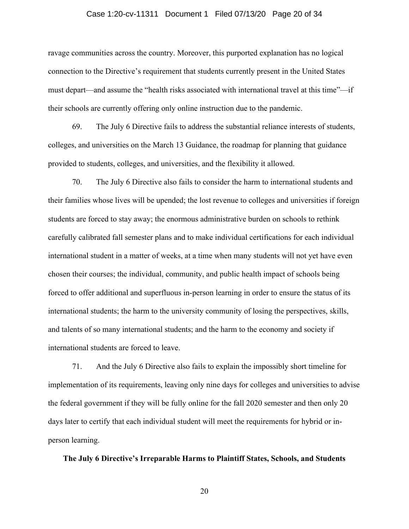### Case 1:20-cv-11311 Document 1 Filed 07/13/20 Page 20 of 34

ravage communities across the country. Moreover, this purported explanation has no logical connection to the Directive's requirement that students currently present in the United States must depart—and assume the "health risks associated with international travel at this time"—if their schools are currently offering only online instruction due to the pandemic.

69. The July 6 Directive fails to address the substantial reliance interests of students, colleges, and universities on the March 13 Guidance, the roadmap for planning that guidance provided to students, colleges, and universities, and the flexibility it allowed.

70. The July 6 Directive also fails to consider the harm to international students and their families whose lives will be upended; the lost revenue to colleges and universities if foreign students are forced to stay away; the enormous administrative burden on schools to rethink carefully calibrated fall semester plans and to make individual certifications for each individual international student in a matter of weeks, at a time when many students will not yet have even chosen their courses; the individual, community, and public health impact of schools being forced to offer additional and superfluous in-person learning in order to ensure the status of its international students; the harm to the university community of losing the perspectives, skills, and talents of so many international students; and the harm to the economy and society if international students are forced to leave.

71. And the July 6 Directive also fails to explain the impossibly short timeline for implementation of its requirements, leaving only nine days for colleges and universities to advise the federal government if they will be fully online for the fall 2020 semester and then only 20 days later to certify that each individual student will meet the requirements for hybrid or inperson learning.

### **The July 6 Directive's Irreparable Harms to Plaintiff States, Schools, and Students**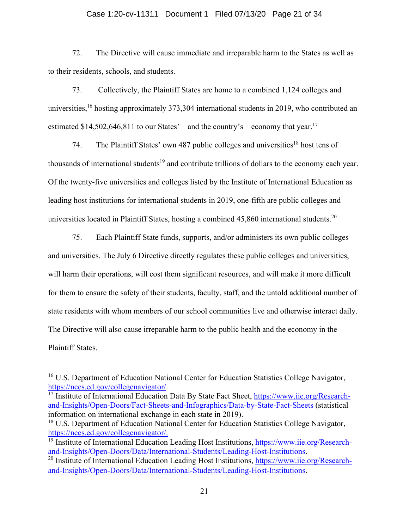### Case 1:20-cv-11311 Document 1 Filed 07/13/20 Page 21 of 34

72. The Directive will cause immediate and irreparable harm to the States as well as to their residents, schools, and students.

73. Collectively, the Plaintiff States are home to a combined 1,124 colleges and universities,<sup>16</sup> hosting approximately 373,304 international students in 2019, who contributed an estimated  $$14,502,646,811$  to our States'—and the country's—economy that year.<sup>17</sup>

74. The Plaintiff States' own 487 public colleges and universities<sup>18</sup> host tens of thousands of international students<sup>19</sup> and contribute trillions of dollars to the economy each year. Of the twenty-five universities and colleges listed by the Institute of International Education as leading host institutions for international students in 2019, one-fifth are public colleges and universities located in Plaintiff States, hosting a combined 45,860 international students.<sup>20</sup>

75. Each Plaintiff State funds, supports, and/or administers its own public colleges and universities. The July 6 Directive directly regulates these public colleges and universities, will harm their operations, will cost them significant resources, and will make it more difficult for them to ensure the safety of their students, faculty, staff, and the untold additional number of state residents with whom members of our school communities live and otherwise interact daily. The Directive will also cause irreparable harm to the public health and the economy in the Plaintiff States.

<sup>&</sup>lt;sup>16</sup> U.S. Department of Education National Center for Education Statistics College Navigator, https://nces.ed.gov/collegenavigator/.

<sup>&</sup>lt;sup>17</sup> Institute of International Education Data By State Fact Sheet, https://www.iie.org/Researchand-Insights/Open-Doors/Fact-Sheets-and-Infographics/Data-by-State-Fact-Sheets (statistical information on international exchange in each state in 2019).

<sup>&</sup>lt;sup>18</sup> U.S. Department of Education National Center for Education Statistics College Navigator, https://nces.ed.gov/collegenavigator/.

 $19$  Institute of International Education Leading Host Institutions, https://www.iie.org/Researchand-Insights/Open-Doors/Data/International-Students/Leading-Host-Institutions.

<sup>&</sup>lt;sup>20</sup> Institute of International Education Leading Host Institutions, https://www.iie.org/Researchand-Insights/Open-Doors/Data/International-Students/Leading-Host-Institutions.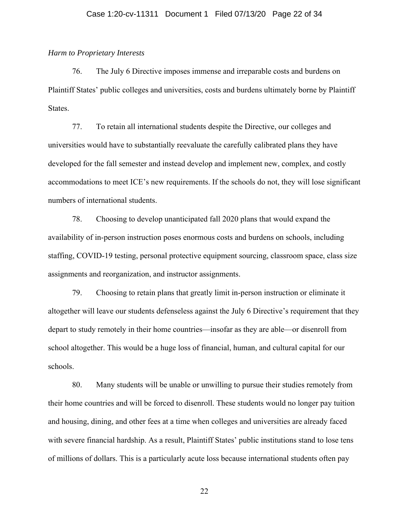### *Harm to Proprietary Interests*

76. The July 6 Directive imposes immense and irreparable costs and burdens on Plaintiff States' public colleges and universities, costs and burdens ultimately borne by Plaintiff States.

77. To retain all international students despite the Directive, our colleges and universities would have to substantially reevaluate the carefully calibrated plans they have developed for the fall semester and instead develop and implement new, complex, and costly accommodations to meet ICE's new requirements. If the schools do not, they will lose significant numbers of international students.

78. Choosing to develop unanticipated fall 2020 plans that would expand the availability of in-person instruction poses enormous costs and burdens on schools, including staffing, COVID-19 testing, personal protective equipment sourcing, classroom space, class size assignments and reorganization, and instructor assignments.

79. Choosing to retain plans that greatly limit in-person instruction or eliminate it altogether will leave our students defenseless against the July 6 Directive's requirement that they depart to study remotely in their home countries—insofar as they are able—or disenroll from school altogether. This would be a huge loss of financial, human, and cultural capital for our schools.

80. Many students will be unable or unwilling to pursue their studies remotely from their home countries and will be forced to disenroll. These students would no longer pay tuition and housing, dining, and other fees at a time when colleges and universities are already faced with severe financial hardship. As a result, Plaintiff States' public institutions stand to lose tens of millions of dollars. This is a particularly acute loss because international students often pay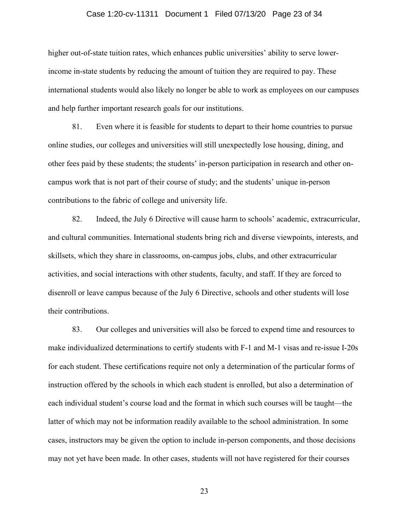### Case 1:20-cv-11311 Document 1 Filed 07/13/20 Page 23 of 34

higher out-of-state tuition rates, which enhances public universities' ability to serve lowerincome in-state students by reducing the amount of tuition they are required to pay. These international students would also likely no longer be able to work as employees on our campuses and help further important research goals for our institutions.

81. Even where it is feasible for students to depart to their home countries to pursue online studies, our colleges and universities will still unexpectedly lose housing, dining, and other fees paid by these students; the students' in-person participation in research and other oncampus work that is not part of their course of study; and the students' unique in-person contributions to the fabric of college and university life.

82. Indeed, the July 6 Directive will cause harm to schools' academic, extracurricular, and cultural communities. International students bring rich and diverse viewpoints, interests, and skillsets, which they share in classrooms, on-campus jobs, clubs, and other extracurricular activities, and social interactions with other students, faculty, and staff. If they are forced to disenroll or leave campus because of the July 6 Directive, schools and other students will lose their contributions.

83. Our colleges and universities will also be forced to expend time and resources to make individualized determinations to certify students with F-1 and M-1 visas and re-issue I-20s for each student. These certifications require not only a determination of the particular forms of instruction offered by the schools in which each student is enrolled, but also a determination of each individual student's course load and the format in which such courses will be taught—the latter of which may not be information readily available to the school administration. In some cases, instructors may be given the option to include in-person components, and those decisions may not yet have been made. In other cases, students will not have registered for their courses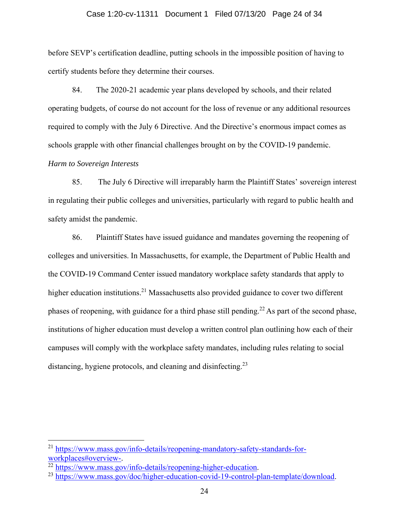### Case 1:20-cv-11311 Document 1 Filed 07/13/20 Page 24 of 34

before SEVP's certification deadline, putting schools in the impossible position of having to certify students before they determine their courses.

84. The 2020-21 academic year plans developed by schools, and their related operating budgets, of course do not account for the loss of revenue or any additional resources required to comply with the July 6 Directive. And the Directive's enormous impact comes as schools grapple with other financial challenges brought on by the COVID-19 pandemic.

# *Harm to Sovereign Interests*

85. The July 6 Directive will irreparably harm the Plaintiff States' sovereign interest in regulating their public colleges and universities, particularly with regard to public health and safety amidst the pandemic.

86. Plaintiff States have issued guidance and mandates governing the reopening of colleges and universities. In Massachusetts, for example, the Department of Public Health and the COVID-19 Command Center issued mandatory workplace safety standards that apply to higher education institutions.<sup>21</sup> Massachusetts also provided guidance to cover two different phases of reopening, with guidance for a third phase still pending.<sup>22</sup> As part of the second phase, institutions of higher education must develop a written control plan outlining how each of their campuses will comply with the workplace safety mandates, including rules relating to social distancing, hygiene protocols, and cleaning and disinfecting.<sup>23</sup>

<sup>&</sup>lt;sup>21</sup> https://www.mass.gov/info-details/reopening-mandatory-safety-standards-for-workplaces#overview-.

 $^{22}$  https://www.mass.gov/info-details/reopening-higher-education.<br> $^{23}$  https://www.mass.gov/doc/higher-education-covid-19-control-plan-template/download.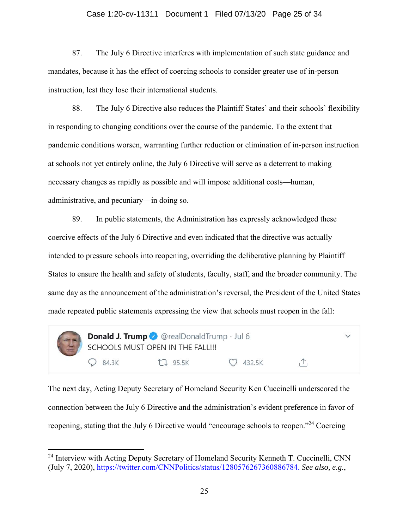### Case 1:20-cv-11311 Document 1 Filed 07/13/20 Page 25 of 34

87. The July 6 Directive interferes with implementation of such state guidance and mandates, because it has the effect of coercing schools to consider greater use of in-person instruction, lest they lose their international students.

88. The July 6 Directive also reduces the Plaintiff States' and their schools' flexibility in responding to changing conditions over the course of the pandemic. To the extent that pandemic conditions worsen, warranting further reduction or elimination of in-person instruction at schools not yet entirely online, the July 6 Directive will serve as a deterrent to making necessary changes as rapidly as possible and will impose additional costs—human, administrative, and pecuniary—in doing so.

89. In public statements, the Administration has expressly acknowledged these coercive effects of the July 6 Directive and even indicated that the directive was actually intended to pressure schools into reopening, overriding the deliberative planning by Plaintiff States to ensure the health and safety of students, faculty, staff, and the broader community. The same day as the announcement of the administration's reversal, the President of the United States made repeated public statements expressing the view that schools must reopen in the fall:



The next day, Acting Deputy Secretary of Homeland Security Ken Cuccinelli underscored the connection between the July 6 Directive and the administration's evident preference in favor of reopening, stating that the July 6 Directive would "encourage schools to reopen."<sup>24</sup> Coercing

<sup>&</sup>lt;sup>24</sup> Interview with Acting Deputy Secretary of Homeland Security Kenneth T. Cuccinelli, CNN (July 7, 2020), https://twitter.com/CNNPolitics/status/1280576267360886784. *See also, e.g.*,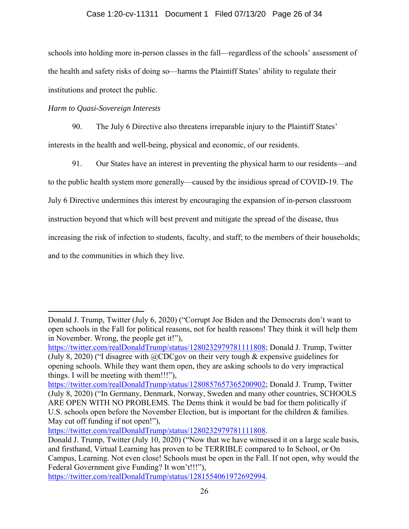# Case 1:20-cv-11311 Document 1 Filed 07/13/20 Page 26 of 34

schools into holding more in-person classes in the fall—regardless of the schools' assessment of the health and safety risks of doing so—harms the Plaintiff States' ability to regulate their institutions and protect the public.

# *Harm to Quasi-Sovereign Interests*

90. The July 6 Directive also threatens irreparable injury to the Plaintiff States' interests in the health and well-being, physical and economic, of our residents.

91. Our States have an interest in preventing the physical harm to our residents—and

to the public health system more generally—caused by the insidious spread of COVID-19. The

July 6 Directive undermines this interest by encouraging the expansion of in-person classroom

instruction beyond that which will best prevent and mitigate the spread of the disease, thus

increasing the risk of infection to students, faculty, and staff; to the members of their households;

and to the communities in which they live.

https://twitter.com/realDonaldTrump/status/1280232979781111808.

Donald J. Trump, Twitter (July 6, 2020) ("Corrupt Joe Biden and the Democrats don't want to open schools in the Fall for political reasons, not for health reasons! They think it will help them in November. Wrong, the people get it!"),

https://twitter.com/realDonaldTrump/status/1280232979781111808; Donald J. Trump, Twitter (July 8, 2020) ("I disagree with  $@CDCg$ ov on their very tough & expensive guidelines for opening schools. While they want them open, they are asking schools to do very impractical things. I will be meeting with them!!!"),

https://twitter.com/realDonaldTrump/status/1280857657365200902; Donald J. Trump, Twitter (July 8, 2020) ("In Germany, Denmark, Norway, Sweden and many other countries, SCHOOLS ARE OPEN WITH NO PROBLEMS. The Dems think it would be bad for them politically if U.S. schools open before the November Election, but is important for the children & families. May cut off funding if not open!"),

Donald J. Trump, Twitter (July 10, 2020) ("Now that we have witnessed it on a large scale basis, and firsthand, Virtual Learning has proven to be TERRIBLE compared to In School, or On Campus, Learning. Not even close! Schools must be open in the Fall. If not open, why would the Federal Government give Funding? It won't!!!"),

https://twitter.com/realDonaldTrump/status/1281554061972692994.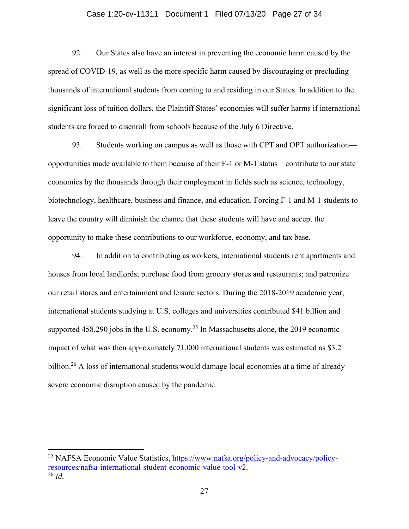### Case 1:20-cv-11311 Document 1 Filed 07/13/20 Page 27 of 34

92. Our States also have an interest in preventing the economic harm caused by the spread of COVID-19, as well as the more specific harm caused by discouraging or precluding thousands of international students from coming to and residing in our States. In addition to the significant loss of tuition dollars, the Plaintiff States' economies will suffer harms if international students are forced to disenroll from schools because of the July 6 Directive.

93. Students working on campus as well as those with CPT and OPT authorization opportunities made available to them because of their F-1 or M-1 status—contribute to our state economies by the thousands through their employment in fields such as science, technology, biotechnology, healthcare, business and finance, and education. Forcing F-1 and M-1 students to leave the country will diminish the chance that these students will have and accept the opportunity to make these contributions to our workforce, economy, and tax base.

94. In addition to contributing as workers, international students rent apartments and houses from local landlords; purchase food from grocery stores and restaurants; and patronize our retail stores and entertainment and leisure sectors. During the 2018-2019 academic year, international students studying at U.S. colleges and universities contributed \$41 billion and supported  $458,290$  jobs in the U.S. economy.<sup>25</sup> In Massachusetts alone, the 2019 economic impact of what was then approximately 71,000 international students was estimated as \$3.2 billion.<sup>26</sup> A loss of international students would damage local economies at a time of already severe economic disruption caused by the pandemic.

<sup>&</sup>lt;sup>25</sup> NAFSA Economic Value Statistics, https://www.nafsa.org/policy-and-advocacy/policyresources/nafsa-international-student-economic-value-tool-v2. 26 *Id.*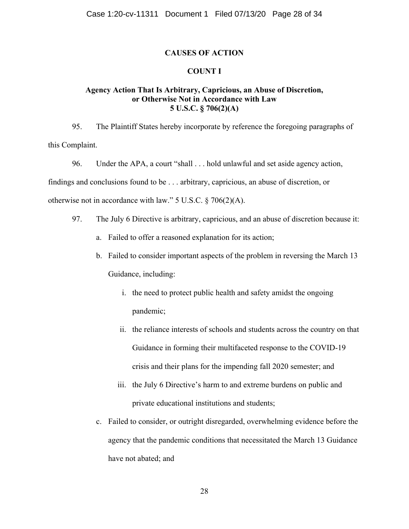### **CAUSES OF ACTION**

### **COUNT I**

### **Agency Action That Is Arbitrary, Capricious, an Abuse of Discretion, or Otherwise Not in Accordance with Law 5 U.S.C. § 706(2)(A)**

95. The Plaintiff States hereby incorporate by reference the foregoing paragraphs of this Complaint.

96. Under the APA, a court "shall . . . hold unlawful and set aside agency action, findings and conclusions found to be . . . arbitrary, capricious, an abuse of discretion, or otherwise not in accordance with law." 5 U.S.C. § 706(2)(A).

- 97. The July 6 Directive is arbitrary, capricious, and an abuse of discretion because it:
	- a. Failed to offer a reasoned explanation for its action;
	- b. Failed to consider important aspects of the problem in reversing the March 13 Guidance, including:
		- i. the need to protect public health and safety amidst the ongoing pandemic;
		- ii. the reliance interests of schools and students across the country on that Guidance in forming their multifaceted response to the COVID-19 crisis and their plans for the impending fall 2020 semester; and
		- iii. the July 6 Directive's harm to and extreme burdens on public and private educational institutions and students;
	- c. Failed to consider, or outright disregarded, overwhelming evidence before the agency that the pandemic conditions that necessitated the March 13 Guidance have not abated; and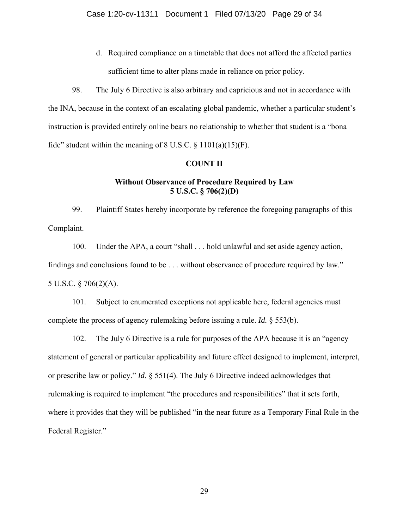d. Required compliance on a timetable that does not afford the affected parties sufficient time to alter plans made in reliance on prior policy.

98. The July 6 Directive is also arbitrary and capricious and not in accordance with the INA, because in the context of an escalating global pandemic, whether a particular student's instruction is provided entirely online bears no relationship to whether that student is a "bona fide" student within the meaning of  $8 \text{ U.S.C.} \$ § 1101(a)(15)(F).

### **COUNT II**

## **Without Observance of Procedure Required by Law 5 U.S.C. § 706(2)(D)**

99. Plaintiff States hereby incorporate by reference the foregoing paragraphs of this Complaint.

100. Under the APA, a court "shall . . . hold unlawful and set aside agency action, findings and conclusions found to be . . . without observance of procedure required by law." 5 U.S.C. § 706(2)(A).

101. Subject to enumerated exceptions not applicable here, federal agencies must complete the process of agency rulemaking before issuing a rule. *Id.* § 553(b).

102. The July 6 Directive is a rule for purposes of the APA because it is an "agency statement of general or particular applicability and future effect designed to implement, interpret, or prescribe law or policy." *Id.* § 551(4). The July 6 Directive indeed acknowledges that rulemaking is required to implement "the procedures and responsibilities" that it sets forth, where it provides that they will be published "in the near future as a Temporary Final Rule in the Federal Register."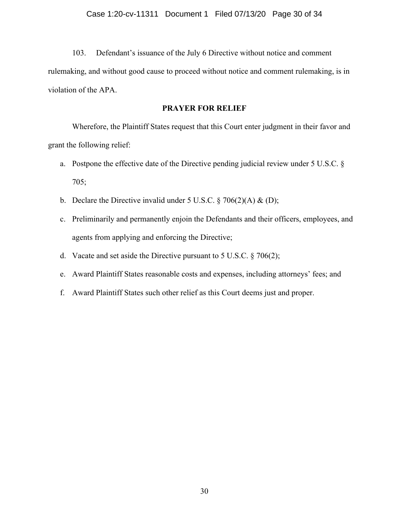103. Defendant's issuance of the July 6 Directive without notice and comment rulemaking, and without good cause to proceed without notice and comment rulemaking, is in violation of the APA.

# **PRAYER FOR RELIEF**

Wherefore, the Plaintiff States request that this Court enter judgment in their favor and grant the following relief:

- a. Postpone the effective date of the Directive pending judicial review under 5 U.S.C. § 705;
- b. Declare the Directive invalid under 5 U.S.C.  $\S 706(2)(A) \& (D)$ ;
- c. Preliminarily and permanently enjoin the Defendants and their officers, employees, and agents from applying and enforcing the Directive;
- d. Vacate and set aside the Directive pursuant to  $5$  U.S.C.  $\S$  706(2);
- e. Award Plaintiff States reasonable costs and expenses, including attorneys' fees; and
- f. Award Plaintiff States such other relief as this Court deems just and proper.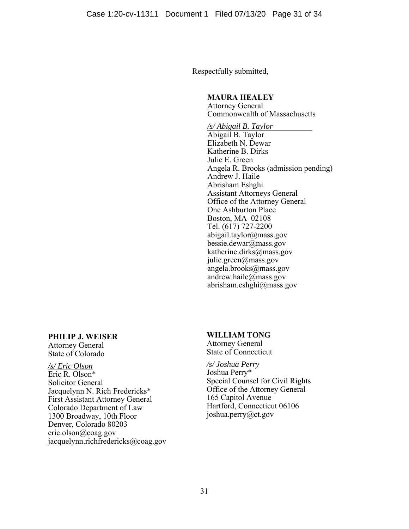Respectfully submitted,

# **MAURA HEALEY**

Attorney General Commonwealth of Massachusetts

*/s/ Abigail B. Taylor*  Abigail B. Taylor Elizabeth N. Dewar Katherine B. Dirks Julie E. Green Angela R. Brooks (admission pending) Andrew J. Haile Abrisham Eshghi Assistant Attorneys General Office of the Attorney General One Ashburton Place Boston, MA 02108 Tel. (617) 727-2200 abigail.taylor@mass.gov bessie.dewar@mass.gov katherine.dirks@mass.gov julie.green@mass.gov angela.brooks@mass.gov andrew.haile@mass.gov abrisham.eshghi@mass.gov

# **PHILIP J. WEISER**

Attorney General State of Colorado

### */s/ Eric Olson*

Eric R. Olson\* Solicitor General Jacquelynn N. Rich Fredericks\* First Assistant Attorney General Colorado Department of Law 1300 Broadway, 10th Floor Denver, Colorado 80203 eric.olson@coag.gov jacquelynn.richfredericks@coag.gov

# **WILLIAM TONG**

Attorney General State of Connecticut

### */s/ Joshua Perry* Joshua Perry\* Special Counsel for Civil Rights Office of the Attorney General 165 Capitol Avenue Hartford, Connecticut 06106 joshua.perry@ct.gov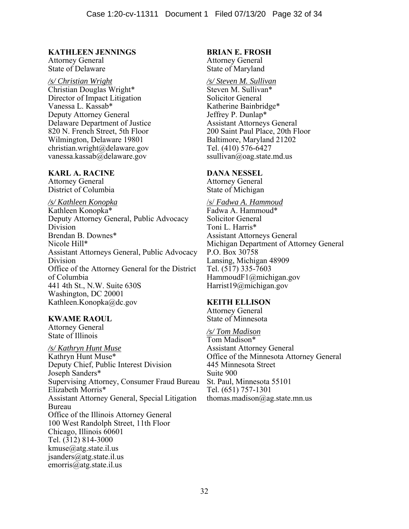# **KATHLEEN JENNINGS**

Attorney General State of Delaware Ì

# */s/ Christian Wright*

Christian Douglas Wright\* Director of Impact Litigation Vanessa L. Kassab\* Deputy Attorney General Delaware Department of Justice 820 N. French Street, 5th Floor Wilmington, Delaware 19801 christian.wright@delaware.gov vanessa.kassab@delaware.gov

# **KARL A. RACINE**

Attorney General District of Columbia

*/s/ Kathleen Konopka*  Kathleen Konopka\* Deputy Attorney General, Public Advocacy Division Brendan B. Downes\* Nicole Hill\* Assistant Attorneys General, Public Advocacy Division Office of the Attorney General for the District of Columbia 441 4th St., N.W. Suite 630S Washington, DC 20001 Kathleen.Konopka@dc.gov

# **KWAME RAOUL**

Attorney General State of Illinois

*/s/ Kathryn Hunt Muse* Kathryn Hunt Muse\* Deputy Chief, Public Interest Division Joseph Sanders\* Supervising Attorney, Consumer Fraud Bureau Elizabeth Morris\* Assistant Attorney General, Special Litigation Bureau Office of the Illinois Attorney General 100 West Randolph Street, 11th Floor Chicago, Illinois 60601 Tel. (312) 814-3000 kmuse@atg.state.il.us jsanders@atg.state.il.us emorris@atg.state.il.us

# **BRIAN E. FROSH**

Attorney General State of Maryland

# */s/ Steven M. Sullivan*

Steven M. Sullivan\* Solicitor General Katherine Bainbridge\* Jeffrey P. Dunlap\* Assistant Attorneys General 200 Saint Paul Place, 20th Floor Baltimore, Maryland 21202 Tel. (410) 576-6427 ssullivan@oag.state.md.us

### **DANA NESSEL**

Attorney General State of Michigan

/s/ *Fadwa A. Hammoud* Fadwa A. Hammoud\* Solicitor General Toni L. Harris\* Assistant Attorneys General Michigan Department of Attorney General P.O. Box 30758 Lansing, Michigan 48909 Tel. (517) 335-7603 HammoudF1@michigan.gov Harrist19@michigan.gov

### **KEITH ELLISON**

Attorney General State of Minnesota

*/s/ Tom Madison* Tom Madison\* Assistant Attorney General Office of the Minnesota Attorney General 445 Minnesota Street Suite 900 St. Paul, Minnesota 55101 Tel. (651) 757-1301 thomas.madison@ag.state.mn.us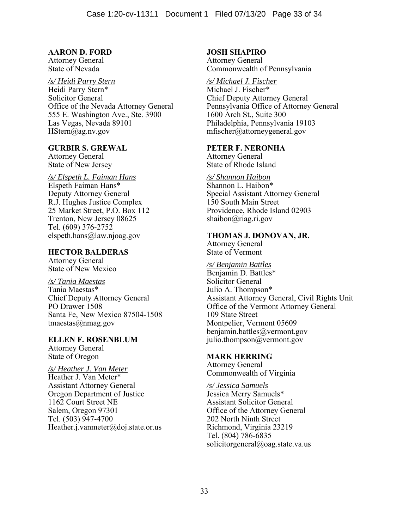# **AARON D. FORD**

Attorney General State of Nevada

#### */s/ Heidi Parry Stern*  Heidi Parry Stern\*

Solicitor General Office of the Nevada Attorney General 555 E. Washington Ave., Ste. 3900 Las Vegas, Nevada 89101 HStern@ag.nv.gov

### **GURBIR S. GREWAL**

Attorney General State of New Jersey

### */s/ Elspeth L. Faiman Hans* Elspeth Faiman Hans\* Deputy Attorney General R.J. Hughes Justice Complex 25 Market Street, P.O. Box 112 Trenton, New Jersey 08625 Tel. (609) 376-2752 elspeth.hans@law.njoag.gov

# **HECTOR BALDERAS**

Attorney General State of New Mexico

### */s/ Tania Maestas* Tania Maestas\* Chief Deputy Attorney General PO Drawer 1508 Santa Fe, New Mexico 87504-1508 tmaestas@nmag.gov

# **ELLEN F. ROSENBLUM**

Attorney General State of Oregon

#### */s/ Heather J. Van Meter* Heather J. Van Meter\*

Assistant Attorney General Oregon Department of Justice 1162 Court Street NE Salem, Oregon 97301 Tel. (503) 947-4700 Heather.j.vanmeter@doj.state.or.us

# **JOSH SHAPIRO**

Attorney General Commonwealth of Pennsylvania

# */s/ Michael J. Fischer*

Michael J. Fischer\* Chief Deputy Attorney General Pennsylvania Office of Attorney General 1600 Arch St., Suite 300 Philadelphia, Pennsylvania 19103 mfischer@attorneygeneral.gov

### **PETER F. NERONHA**

Attorney General State of Rhode Island

*/s/ Shannon Haibon*  Shannon L. Haibon\* Special Assistant Attorney General 150 South Main Street Providence, Rhode Island 02903 shaibon@riag.ri.gov

### **THOMAS J. DONOVAN, JR.**

Attorney General State of Vermont

### */s/ Benjamin Battles* Benjamin D. Battles\* Solicitor General Julio A. Thompson\* Assistant Attorney General, Civil Rights Unit Office of the Vermont Attorney General 109 State Street Montpelier, Vermont 05609 benjamin.battles@vermont.gov julio.thompson@vermont.gov

# **MARK HERRING**

Attorney General Commonwealth of Virginia

*/s/ Jessica Samuels* Jessica Merry Samuels\* Assistant Solicitor General Office of the Attorney General 202 North Ninth Street Richmond, Virginia 23219 Tel. (804) 786-6835 solicitorgeneral@oag.state.va.us